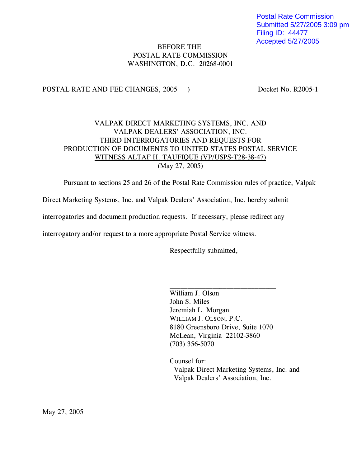Postal Rate Commission Submitted 5/27/2005 3:09 pm Filing ID: 44477 Accepted 5/27/2005

### BEFORE THE POSTAL RATE COMMISSION WASHINGTON, D.C. 20268-0001

POSTAL RATE AND FEE CHANGES, 2005 ) Docket No. R2005-1

## VALPAK DIRECT MARKETING SYSTEMS, INC. AND VALPAK DEALERS' ASSOCIATION, INC. THIRD INTERROGATORIES AND REQUESTS FOR PRODUCTION OF DOCUMENTS TO UNITED STATES POSTAL SERVICE WITNESS ALTAF H. TAUFIQUE (VP/USPS-T28-38-47) (May 27, 2005)

Pursuant to sections 25 and 26 of the Postal Rate Commission rules of practice, Valpak

Direct Marketing Systems, Inc. and Valpak Dealers' Association, Inc. hereby submit

interrogatories and document production requests. If necessary, please redirect any

interrogatory and/or request to a more appropriate Postal Service witness.

Respectfully submitted,

William J. Olson John S. Miles Jeremiah L. Morgan WILLIAM J. OLSON, P.C. 8180 Greensboro Drive, Suite 1070 McLean, Virginia 22102-3860 (703) 356-5070

 $\overline{\phantom{a}}$  , where  $\overline{\phantom{a}}$  , where  $\overline{\phantom{a}}$  , where  $\overline{\phantom{a}}$  , where  $\overline{\phantom{a}}$ 

Counsel for: Valpak Direct Marketing Systems, Inc. and Valpak Dealers' Association, Inc.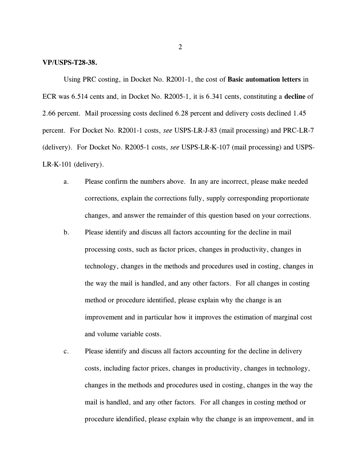#### **VP/USPS-T28-38.**

Using PRC costing, in Docket No. R2001-1, the cost of **Basic automation letters** in ECR was 6.514 cents and, in Docket No. R2005-1, it is 6.341 cents, constituting a **decline** of 2.66 percent. Mail processing costs declined 6.28 percent and delivery costs declined 1.45 percent. For Docket No. R2001-1 costs, *see* USPS-LR-J-83 (mail processing) and PRC-LR-7 (delivery). For Docket No. R2005-1 costs, *see* USPS-LR-K-107 (mail processing) and USPS-LR-K-101 (delivery).

- a. Please confirm the numbers above. In any are incorrect, please make needed corrections, explain the corrections fully, supply corresponding proportionate changes, and answer the remainder of this question based on your corrections.
- b. Please identify and discuss all factors accounting for the decline in mail processing costs, such as factor prices, changes in productivity, changes in technology, changes in the methods and procedures used in costing, changes in the way the mail is handled, and any other factors. For all changes in costing method or procedure identified, please explain why the change is an improvement and in particular how it improves the estimation of marginal cost and volume variable costs.
- c. Please identify and discuss all factors accounting for the decline in delivery costs, including factor prices, changes in productivity, changes in technology, changes in the methods and procedures used in costing, changes in the way the mail is handled, and any other factors. For all changes in costing method or procedure idendified, please explain why the change is an improvement, and in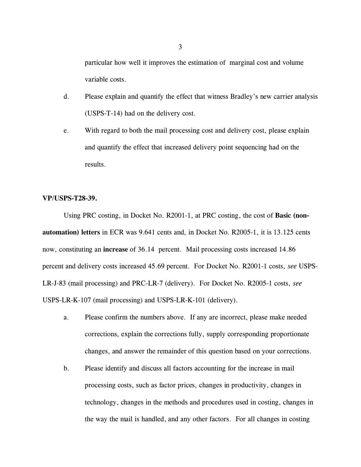particular how well it improves the estimation of marginal cost and volume variable costs.

- d. Please explain and quantify the effect that witness Bradley's new carrier analysis (USPS-T-14) had on the delivery cost.
- e. With regard to both the mail processing cost and delivery cost, please explain and quantify the effect that increased delivery point sequencing had on the results.

### **VP/USPS-T28-39.**

Using PRC costing, in Docket No. R2001-1, at PRC costing, the cost of **Basic (nonautomation) letters** in ECR was 9.641 cents and, in Docket No. R2005-1, it is 13.125 cents now, constituting an **increase** of 36.14 percent. Mail processing costs increased 14.86 percent and delivery costs increased 45.69 percent. For Docket No. R2001-1 costs, *see* USPS-LR-J-83 (mail processing) and PRC-LR-7 (delivery). For Docket No. R2005-1 costs, *see* USPS-LR-K-107 (mail processing) and USPS-LR-K-101 (delivery).

- a. Please confirm the numbers above. If any are incorrect, please make needed corrections, explain the corrections fully, supply corresponding proportionate changes, and answer the remainder of this question based on your corrections.
- b. Please identify and discuss all factors accounting for the increase in mail processing costs, such as factor prices, changes in productivity, changes in technology, changes in the methods and procedures used in costing, changes in the way the mail is handled, and any other factors. For all changes in costing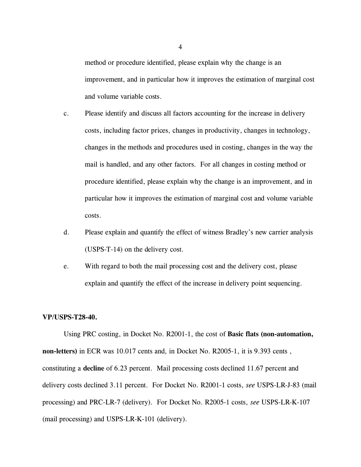method or procedure identified, please explain why the change is an improvement, and in particular how it improves the estimation of marginal cost and volume variable costs.

- c. Please identify and discuss all factors accounting for the increase in delivery costs, including factor prices, changes in productivity, changes in technology, changes in the methods and procedures used in costing, changes in the way the mail is handled, and any other factors. For all changes in costing method or procedure identified, please explain why the change is an improvement, and in particular how it improves the estimation of marginal cost and volume variable costs.
- d. Please explain and quantify the effect of witness Bradley's new carrier analysis (USPS-T-14) on the delivery cost.
- e. With regard to both the mail processing cost and the delivery cost, please explain and quantify the effect of the increase in delivery point sequencing.

### **VP/USPS-T28-40.**

Using PRC costing, in Docket No. R2001-1, the cost of **Basic flats (non-automation, non-letters)** in ECR was 10.017 cents and, in Docket No. R2005-1, it is 9.393 cents , constituting a **decline** of 6.23 percent. Mail processing costs declined 11.67 percent and delivery costs declined 3.11 percent. For Docket No. R2001-1 costs, *see* USPS-LR-J-83 (mail processing) and PRC-LR-7 (delivery). For Docket No. R2005-1 costs, *see* USPS-LR-K-107 (mail processing) and USPS-LR-K-101 (delivery).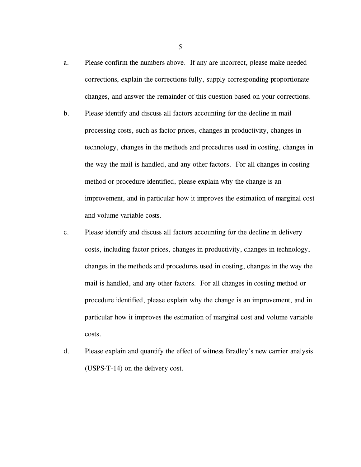- a. Please confirm the numbers above. If any are incorrect, please make needed corrections, explain the corrections fully, supply corresponding proportionate changes, and answer the remainder of this question based on your corrections.
- b. Please identify and discuss all factors accounting for the decline in mail processing costs, such as factor prices, changes in productivity, changes in technology, changes in the methods and procedures used in costing, changes in the way the mail is handled, and any other factors. For all changes in costing method or procedure identified, please explain why the change is an improvement, and in particular how it improves the estimation of marginal cost and volume variable costs.
- c. Please identify and discuss all factors accounting for the decline in delivery costs, including factor prices, changes in productivity, changes in technology, changes in the methods and procedures used in costing, changes in the way the mail is handled, and any other factors. For all changes in costing method or procedure identified, please explain why the change is an improvement, and in particular how it improves the estimation of marginal cost and volume variable costs.
- d. Please explain and quantify the effect of witness Bradley's new carrier analysis (USPS-T-14) on the delivery cost.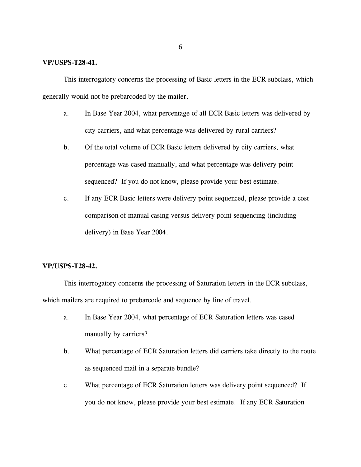#### **VP/USPS-T28-41.**

This interrogatory concerns the processing of Basic letters in the ECR subclass, which generally would not be prebarcoded by the mailer.

- a. In Base Year 2004, what percentage of all ECR Basic letters was delivered by city carriers, and what percentage was delivered by rural carriers?
- b. Of the total volume of ECR Basic letters delivered by city carriers, what percentage was cased manually, and what percentage was delivery point sequenced? If you do not know, please provide your best estimate.
- c. If any ECR Basic letters were delivery point sequenced, please provide a cost comparison of manual casing versus delivery point sequencing (including delivery) in Base Year 2004.

### **VP/USPS-T28-42.**

This interrogatory concerns the processing of Saturation letters in the ECR subclass, which mailers are required to prebarcode and sequence by line of travel.

- a. In Base Year 2004, what percentage of ECR Saturation letters was cased manually by carriers?
- b. What percentage of ECR Saturation letters did carriers take directly to the route as sequenced mail in a separate bundle?
- c. What percentage of ECR Saturation letters was delivery point sequenced? If you do not know, please provide your best estimate. If any ECR Saturation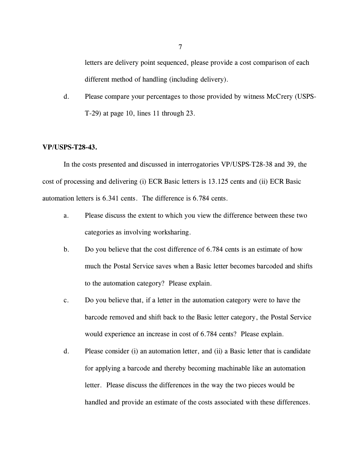letters are delivery point sequenced, please provide a cost comparison of each different method of handling (including delivery).

d. Please compare your percentages to those provided by witness McCrery (USPS-T-29) at page 10, lines 11 through 23.

#### **VP/USPS-T28-43.**

In the costs presented and discussed in interrogatories VP/USPS-T28-38 and 39, the cost of processing and delivering (i) ECR Basic letters is 13.125 cents and (ii) ECR Basic automation letters is 6.341 cents. The difference is 6.784 cents.

- a. Please discuss the extent to which you view the difference between these two categories as involving worksharing.
- b. Do you believe that the cost difference of 6.784 cents is an estimate of how much the Postal Service saves when a Basic letter becomes barcoded and shifts to the automation category? Please explain.
- c. Do you believe that, if a letter in the automation category were to have the barcode removed and shift back to the Basic letter category, the Postal Service would experience an increase in cost of 6.784 cents? Please explain.
- d. Please consider (i) an automation letter, and (ii) a Basic letter that is candidate for applying a barcode and thereby becoming machinable like an automation letter. Please discuss the differences in the way the two pieces would be handled and provide an estimate of the costs associated with these differences.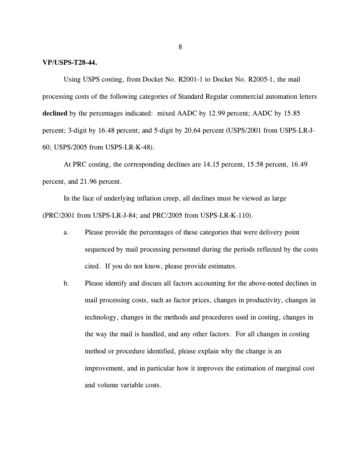#### **VP/USPS-T28-44.**

Using USPS costing, from Docket No. R2001-1 to Docket No. R2005-1, the mail processing costs of the following categories of Standard Regular commercial automation letters **declined** by the percentages indicated: mixed AADC by 12.99 percent; AADC by 15.85 percent; 3-digit by 16.48 percent; and 5-digit by 20.64 percent (USPS/2001 from USPS-LR-J-60; USPS/2005 from USPS-LR-K-48).

At PRC costing, the corresponding declines are 14.15 percent, 15.58 percent, 16.49 percent, and 21.96 percent.

In the face of underlying inflation creep, all declines must be viewed as large (PRC/2001 from USPS-LR-J-84; and PRC/2005 from USPS-LR-K-110).

- a. Please provide the percentages of these categories that were delivery point sequenced by mail processing personnel during the periods reflected by the costs cited. If you do not know, please provide estimates.
- b. Please identify and discuss all factors accounting for the above-noted declines in mail processing costs, such as factor prices, changes in productivity, changes in technology, changes in the methods and procedures used in costing, changes in the way the mail is handled, and any other factors. For all changes in costing method or procedure identified, please explain why the change is an improvement, and in particular how it improves the estimation of marginal cost and volume variable costs.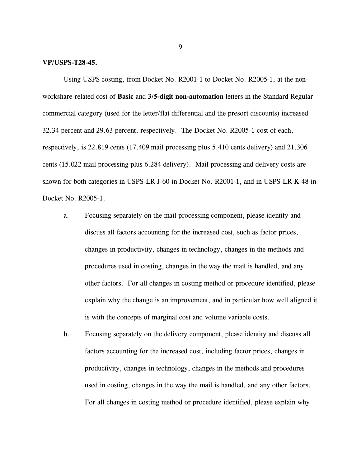#### **VP/USPS-T28-45.**

Using USPS costing, from Docket No. R2001-1 to Docket No. R2005-1, at the nonworkshare-related cost of **Basic** and **3/5-digit non-automation** letters in the Standard Regular commercial category (used for the letter/flat differential and the presort discounts) increased 32.34 percent and 29.63 percent, respectively. The Docket No. R2005-1 cost of each, respectively, is 22.819 cents (17.409 mail processing plus 5.410 cents delivery) and 21.306 cents (15.022 mail processing plus 6.284 delivery). Mail processing and delivery costs are shown for both categories in USPS-LR-J-60 in Docket No. R2001-1, and in USPS-LR-K-48 in Docket No. R2005-1.

- a. Focusing separately on the mail processing component, please identify and discuss all factors accounting for the increased cost, such as factor prices, changes in productivity, changes in technology, changes in the methods and procedures used in costing, changes in the way the mail is handled, and any other factors. For all changes in costing method or procedure identified, please explain why the change is an improvement, and in particular how well aligned it is with the concepts of marginal cost and volume variable costs.
- b. Focusing separately on the delivery component, please identity and discuss all factors accounting for the increased cost, including factor prices, changes in productivity, changes in technology, changes in the methods and procedures used in costing, changes in the way the mail is handled, and any other factors. For all changes in costing method or procedure identified, please explain why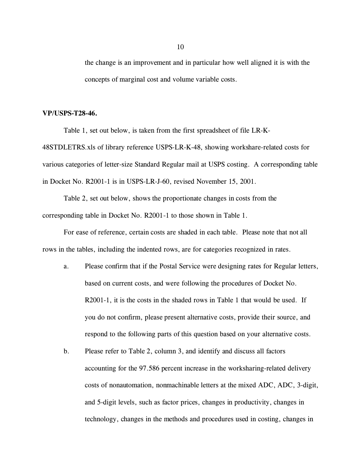the change is an improvement and in particular how well aligned it is with the concepts of marginal cost and volume variable costs.

### **VP/USPS-T28-46.**

Table 1, set out below, is taken from the first spreadsheet of file LR-K-48STDLETRS.xls of library reference USPS-LR-K-48, showing workshare-related costs for various categories of letter-size Standard Regular mail at USPS costing. A corresponding table in Docket No. R2001-1 is in USPS-LR-J-60, revised November 15, 2001.

Table 2, set out below, shows the proportionate changes in costs from the corresponding table in Docket No. R2001-1 to those shown in Table 1.

For ease of reference, certain costs are shaded in each table. Please note that not all rows in the tables, including the indented rows, are for categories recognized in rates.

- a. Please confirm that if the Postal Service were designing rates for Regular letters, based on current costs, and were following the procedures of Docket No. R2001-1, it is the costs in the shaded rows in Table 1 that would be used. If you do not confirm, please present alternative costs, provide their source, and respond to the following parts of this question based on your alternative costs.
- b. Please refer to Table 2, column 3, and identify and discuss all factors accounting for the 97.586 percent increase in the worksharing-related delivery costs of nonautomation, nonmachinable letters at the mixed ADC, ADC, 3-digit, and 5-digit levels, such as factor prices, changes in productivity, changes in technology, changes in the methods and procedures used in costing, changes in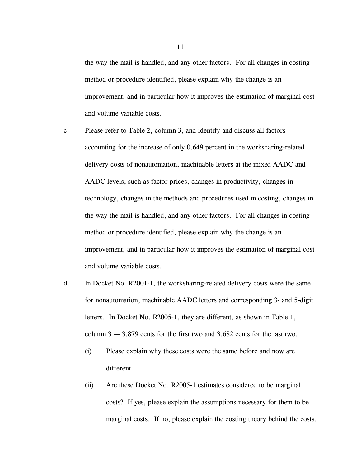the way the mail is handled, and any other factors. For all changes in costing method or procedure identified, please explain why the change is an improvement, and in particular how it improves the estimation of marginal cost and volume variable costs.

- c. Please refer to Table 2, column 3, and identify and discuss all factors accounting for the increase of only 0.649 percent in the worksharing-related delivery costs of nonautomation, machinable letters at the mixed AADC and AADC levels, such as factor prices, changes in productivity, changes in technology, changes in the methods and procedures used in costing, changes in the way the mail is handled, and any other factors. For all changes in costing method or procedure identified, please explain why the change is an improvement, and in particular how it improves the estimation of marginal cost and volume variable costs.
- d. In Docket No. R2001-1, the worksharing-related delivery costs were the same for nonautomation, machinable AADC letters and corresponding 3- and 5-digit letters. In Docket No. R2005-1, they are different, as shown in Table 1, column  $3 - 3.879$  cents for the first two and  $3.682$  cents for the last two.
	- (i) Please explain why these costs were the same before and now are different.
	- (ii) Are these Docket No. R2005-1 estimates considered to be marginal costs? If yes, please explain the assumptions necessary for them to be marginal costs. If no, please explain the costing theory behind the costs.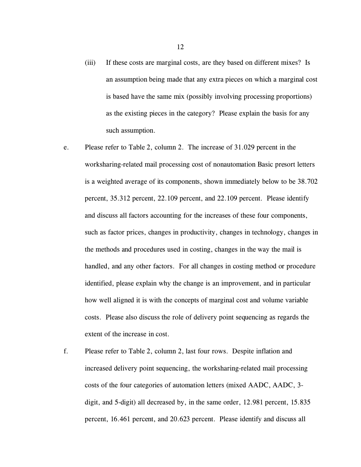- (iii) If these costs are marginal costs, are they based on different mixes? Is an assumption being made that any extra pieces on which a marginal cost is based have the same mix (possibly involving processing proportions) as the existing pieces in the category? Please explain the basis for any such assumption.
- e. Please refer to Table 2, column 2. The increase of 31.029 percent in the worksharing-related mail processing cost of nonautomation Basic presort letters is a weighted average of its components, shown immediately below to be 38.702 percent, 35.312 percent, 22.109 percent, and 22.109 percent. Please identify and discuss all factors accounting for the increases of these four components, such as factor prices, changes in productivity, changes in technology, changes in the methods and procedures used in costing, changes in the way the mail is handled, and any other factors. For all changes in costing method or procedure identified, please explain why the change is an improvement, and in particular how well aligned it is with the concepts of marginal cost and volume variable costs. Please also discuss the role of delivery point sequencing as regards the extent of the increase in cost.
- f. Please refer to Table 2, column 2, last four rows. Despite inflation and increased delivery point sequencing, the worksharing-related mail processing costs of the four categories of automation letters (mixed AADC, AADC, 3 digit, and 5-digit) all decreased by, in the same order, 12.981 percent, 15.835 percent, 16.461 percent, and 20.623 percent. Please identify and discuss all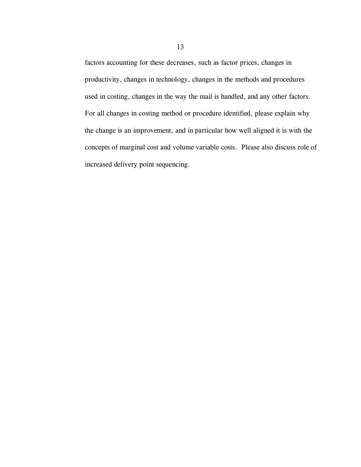factors accounting for these decreases, such as factor prices, changes in productivity, changes in technology, changes in the methods and procedures used in costing, changes in the way the mail is handled, and any other factors. For all changes in costing method or procedure identified, please explain why the change is an improvement, and in particular how well aligned it is with the concepts of marginal cost and volume variable costs. Please also discuss role of increased delivery point sequencing.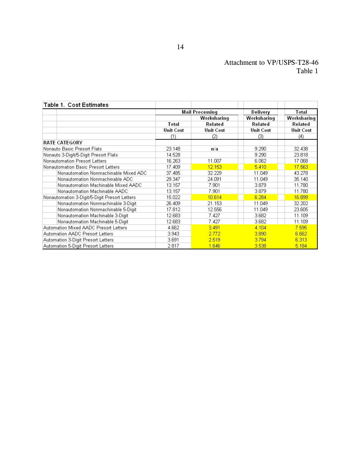# Attachment to VP/USPS-T28-46 Table 1

| <b>Table 1. Cost Estimates</b>                |                        |                  |                  |                  |
|-----------------------------------------------|------------------------|------------------|------------------|------------------|
|                                               | <b>Mail Processing</b> |                  | Delivery         | Total            |
|                                               |                        | Worksharing      | Worksharing      | Worksharing      |
|                                               | Total                  | Related          | Related          | Related          |
|                                               | <b>Unit Cost</b>       | <b>Unit Cost</b> | <b>Unit Cost</b> | <b>Unit Cost</b> |
|                                               | (1)                    | (2)              | (3)              | (4)              |
| <b>RATE CATEGORY</b>                          |                        |                  |                  |                  |
| Nonauto Basic Presort Flats                   | 23.148                 | n/a              | 9.290            | 32.438           |
| Nonauto 3-Digit/5-Digit Presort Flats         | 14.528                 |                  | 9.290            | 23.818           |
| Nonautomation Presort Letters                 | 16.263                 | 11.007           | 6.062            | 17.068           |
| Nonautomation Basic Presort Letters           | 17.409                 | 12.153           | 5.410            | 17.563           |
| Nonautomation Nonmachinable Mixed ADC         | 37.485                 | 32.229           | 11.049           | 43.278           |
| Nonautomation Nonmachinable ADC               | 29.347                 | 24.091           | 11.049           | 35.140           |
| Nonautomation Machinable Mixed AADC           | 13.157                 | 7.901            | 3.879            | 11.780           |
| Nonautomation Machinable AADC                 | 13.157                 | 7.901            | 3.879            | 11.780           |
| Nonautomation 3-Digit/5-Digit Presort Letters | 15.022                 | 10.614           | 6.284            | 16,899           |
| Nonautomation Nonmachinable 3-Digit           | 26.409                 | 21.153           | 11.049           | 32.202           |
| Nonautomation Nonmachinable 5-Digit           | 17.812                 | 12.556           | 11.049           | 23.605           |
| Nonautomation Machinable 3-Digit              | 12.683                 | 7.427            | 3.682            | 11.109           |
| Nonautomation Machinable 5-Digit              | 12.683                 | 7.427            | 3.682            | 11.109           |
| Automation Mixed AADC Presort Letters         | 4.662                  | 3.491            | 4.104            | 7.595            |
| Automation AADC Presort Letters               | 3.943                  | 2.772            | 3.890            | 6,662            |
| Automation 3-Digit Presort Letters            | 3.691                  | 2.519            | 3.794            | 6.313            |
| Automation 5-Digit Presort Letters            | 2.817                  | 1.646            | 3.538            | 5.184            |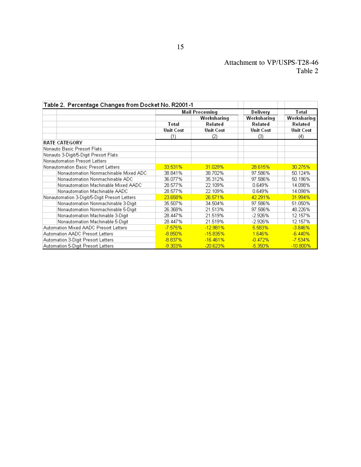# Attachment to VP/USPS-T28-46 Table 2

| Table 2.  Percentage Changes from Docket No. R2001-1 |                  |                  |                  |                  |
|------------------------------------------------------|------------------|------------------|------------------|------------------|
|                                                      | Mail Processing  |                  | Delivery         | Total            |
|                                                      |                  | Worksharing      | Worksharing      | Worksharing      |
|                                                      | Total            | Related          | Related          | Related          |
|                                                      | <b>Unit Cost</b> | <b>Unit Cost</b> | <b>Unit Cost</b> | <b>Unit Cost</b> |
|                                                      | (1)              | (2)              | (3)              | (4)              |
| <b>RATE CATEGORY</b>                                 |                  |                  |                  |                  |
| Nonauto Basic Presort Flats                          |                  |                  |                  |                  |
| Nonauto 3-Digit/5-Digit Presort Flats                |                  |                  |                  |                  |
| Nonautomation Presort Letters                        |                  |                  |                  |                  |
| Nonautomation Basic Presort Letters                  | 33.531%          | 31.029%          | 28.615%          | 30.275%          |
| Nonautomation Nonmachinable Mixed ADC                | 38.841%          | 38.702%          | 97.586%          | 50.124%          |
| Nonautomation Nonmachinable ADC                      | 36.077%          | 35.312%          | 97.586%          | 50.196%          |
| Nonautomation Machinable Mixed AADC                  | 28.577%          | 22.109%          | 0.649%           | 14.098%          |
| Nonautomation Machinable AADC                        | 28.577%          | 22.109%          | 0.649%           | 14.098%          |
| Nonautomation 3-Digit/5-Digit Presort Letters        | 23.658%          | 26.571%          | 42.291%          | 31.994%          |
| Nonautomation Nonmachinable 3-Digit                  | 35.507%          | 34.504%          | 97.586%          | 51.050%          |
| Nonautomation Nonmachinable 5-Digit                  | 26.368%          | 21.513%          | 97.586%          | 48.226%          |
| Nonautomation Machinable 3-Digit                     | 28.447%          | 21.519%          | -2.926%          | 12.157%          |
| Nonautomation Machinable 5-Digit                     | 28.447%          | 21.519%          | $-2.926%$        | 12.157%          |
| Automation Mixed AADC Presort Letters                | $-7.575%$        | $-12.981%$       | 5.583%           | $-3.846%$        |
| Automation AADC Presort Letters                      | $-8.850%$        | $-15.835%$       | 1.646%           | $-6.440%$        |
| Automation 3-Digit Presort Letters                   | $-8.837%$        | $-16.461%$       | $-0.472%$        | $-7.534%$        |
| Automation 5-Digit Presort Letters                   | $-9.303%$        | $-20.623%$       | $-5.350%$        | $-10.800\%$      |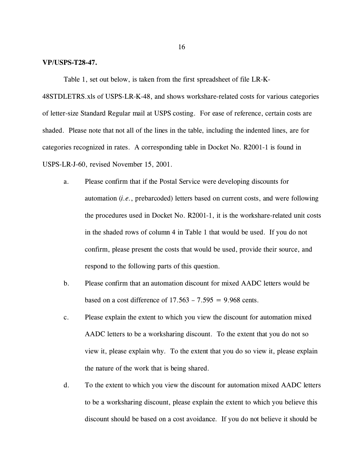#### **VP/USPS-T28-47.**

Table 1, set out below, is taken from the first spreadsheet of file LR-K-

48STDLETRS.xls of USPS-LR-K-48, and shows workshare-related costs for various categories of letter-size Standard Regular mail at USPS costing. For ease of reference, certain costs are shaded. Please note that not all of the lines in the table, including the indented lines, are for categories recognized in rates. A corresponding table in Docket No. R2001-1 is found in USPS-LR-J-60, revised November 15, 2001.

- a. Please confirm that if the Postal Service were developing discounts for automation (*i.e.*, prebarcoded) letters based on current costs, and were following the procedures used in Docket No. R2001-1, it is the workshare-related unit costs in the shaded rows of column 4 in Table 1 that would be used. If you do not confirm, please present the costs that would be used, provide their source, and respond to the following parts of this question.
- b. Please confirm that an automation discount for mixed AADC letters would be based on a cost difference of  $17.563 - 7.595 = 9.968$  cents.
- c. Please explain the extent to which you view the discount for automation mixed AADC letters to be a worksharing discount. To the extent that you do not so view it, please explain why. To the extent that you do so view it, please explain the nature of the work that is being shared.
- d. To the extent to which you view the discount for automation mixed AADC letters to be a worksharing discount, please explain the extent to which you believe this discount should be based on a cost avoidance. If you do not believe it should be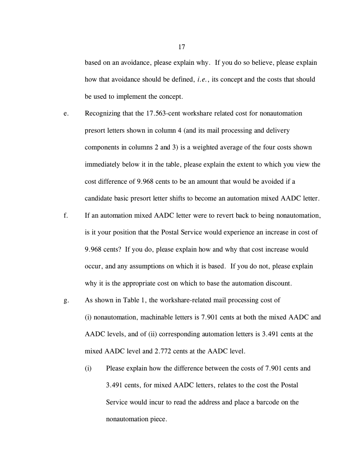based on an avoidance, please explain why. If you do so believe, please explain how that avoidance should be defined, *i.e.*, its concept and the costs that should be used to implement the concept.

e. Recognizing that the 17.563-cent workshare related cost for nonautomation presort letters shown in column 4 (and its mail processing and delivery components in columns 2 and 3) is a weighted average of the four costs shown immediately below it in the table, please explain the extent to which you view the cost difference of 9.968 cents to be an amount that would be avoided if a candidate basic presort letter shifts to become an automation mixed AADC letter.

- f. If an automation mixed AADC letter were to revert back to being nonautomation, is it your position that the Postal Service would experience an increase in cost of 9.968 cents? If you do, please explain how and why that cost increase would occur, and any assumptions on which it is based. If you do not, please explain why it is the appropriate cost on which to base the automation discount.
- g. As shown in Table 1, the workshare-related mail processing cost of (i) nonautomation, machinable letters is 7.901 cents at both the mixed AADC and AADC levels, and of (ii) corresponding automation letters is 3.491 cents at the mixed AADC level and 2.772 cents at the AADC level.
	- (i) Please explain how the difference between the costs of 7.901 cents and 3.491 cents, for mixed AADC letters, relates to the cost the Postal Service would incur to read the address and place a barcode on the nonautomation piece.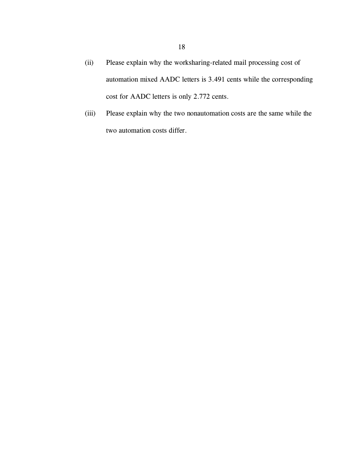- (ii) Please explain why the worksharing-related mail processing cost of automation mixed AADC letters is 3.491 cents while the corresponding cost for AADC letters is only 2.772 cents.
- (iii) Please explain why the two nonautomation costs are the same while the two automation costs differ.